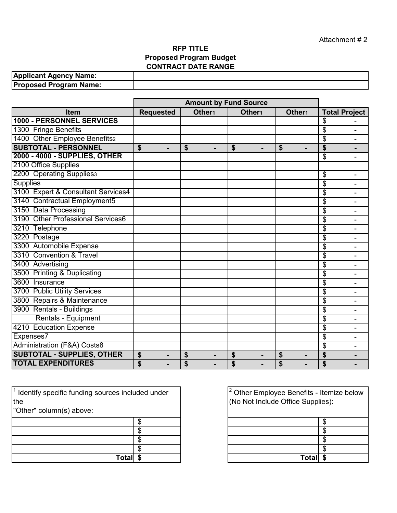## **RFP TITLE Proposed Program Budget CONTRACT DATE RANGE**

| <b>Applicant Agency Name:</b> |  |
|-------------------------------|--|
| <b>Proposed Program Name:</b> |  |

|                                        | <b>Amount by Fund Source</b>                       |                      |                      |                      |                      |
|----------------------------------------|----------------------------------------------------|----------------------|----------------------|----------------------|----------------------|
| Item                                   | <b>Requested</b>                                   | Other <sub>1</sub>   | Other <sub>1</sub>   | Other <sub>1</sub>   | <b>Total Project</b> |
| <b>1000 - PERSONNEL SERVICES</b>       |                                                    |                      |                      |                      | \$                   |
| 1300 Fringe Benefits                   |                                                    |                      |                      |                      | \$                   |
| 1400 Other Employee Benefits2          |                                                    |                      |                      |                      | \$                   |
| <b>SUBTOTAL - PERSONNEL</b>            | $\mathbf{\hat{s}}$<br>$\blacksquare$               | \$<br>$\blacksquare$ | \$<br>$\blacksquare$ | \$                   | \$                   |
| 2000 - 4000 - SUPPLIES, OTHER          |                                                    |                      |                      |                      | \$                   |
| 2100 Office Supplies                   |                                                    |                      |                      |                      |                      |
| 2200 Operating Suppliess               |                                                    |                      |                      |                      | \$<br>۰              |
| <b>Supplies</b>                        |                                                    |                      |                      |                      | \$                   |
| 3100 Expert & Consultant Services4     |                                                    |                      |                      |                      | \$<br>٠              |
| 3140 Contractual Employment5           |                                                    |                      |                      |                      | \$                   |
| 3150 Data Processing                   |                                                    |                      |                      |                      | \$                   |
| 3190 Other Professional Services6      |                                                    |                      |                      |                      | \$                   |
| 3210 Telephone                         |                                                    |                      |                      |                      | \$                   |
| 3220 Postage                           |                                                    |                      |                      |                      | \$                   |
| 3300 Automobile Expense                |                                                    |                      |                      |                      | \$                   |
| 3310 Convention & Travel               |                                                    |                      |                      |                      | \$                   |
| 3400 Advertising                       |                                                    |                      |                      |                      | \$                   |
| 3500 Printing & Duplicating            |                                                    |                      |                      |                      | \$                   |
| 3600 Insurance                         |                                                    |                      |                      |                      | \$                   |
| 3700 Public Utility Services           |                                                    |                      |                      |                      | \$                   |
| 3800 Repairs & Maintenance             |                                                    |                      |                      |                      | \$<br>Ξ.             |
| 3900 Rentals - Buildings               |                                                    |                      |                      |                      | \$                   |
| Rentals - Equipment                    |                                                    |                      |                      |                      | \$                   |
| 4210 Education Expense                 |                                                    |                      |                      |                      | \$                   |
| Expenses7                              |                                                    |                      |                      |                      | \$<br>٠              |
| <b>Administration (F&amp;A) Costs8</b> |                                                    |                      |                      |                      | \$                   |
| <b>SUBTOTAL - SUPPLIES, OTHER</b>      | \$<br>-                                            | \$<br>-              | \$<br>-              | \$<br>$\blacksquare$ | \$                   |
| <b>TOTAL EXPENDITURES</b>              | $\overline{\boldsymbol{\theta}}$<br>$\blacksquare$ | \$                   | \$                   | \$                   | \$                   |

| $\sqrt{1}$ Identify specific funding sources included under |  |
|-------------------------------------------------------------|--|
| the                                                         |  |
| "Other" column(s) above:                                    |  |
|                                                             |  |
|                                                             |  |
|                                                             |  |
|                                                             |  |
| Total                                                       |  |

| s included under | $\vert^2$ Other Employee Benefits - Itemize below<br>(No Not Include Office Supplies): |  |
|------------------|----------------------------------------------------------------------------------------|--|
|                  |                                                                                        |  |
|                  |                                                                                        |  |
|                  |                                                                                        |  |
|                  |                                                                                        |  |
|                  | Tot <sub>2</sub>                                                                       |  |